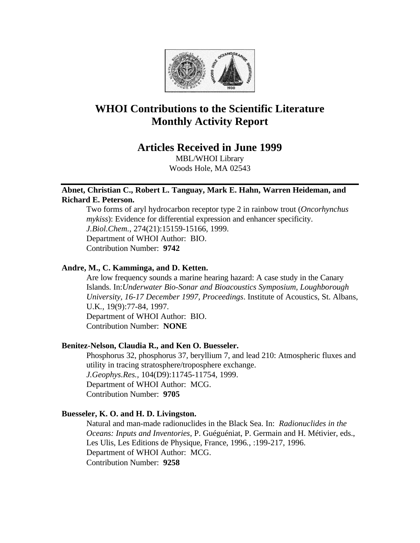

# **WHOI Contributions to the Scientific Literature Monthly Activity Report**

## **Articles Received in June 1999**

MBL/WHOI Library Woods Hole, MA 02543

### **Abnet, Christian C., Robert L. Tanguay, Mark E. Hahn, Warren Heideman, and Richard E. Peterson.**

Two forms of aryl hydrocarbon receptor type 2 in rainbow trout (*Oncorhynchus mykiss*): Evidence for differential expression and enhancer specificity. *J.Biol.Chem.*, 274(21):15159-15166, 1999. Department of WHOI Author: BIO. Contribution Number: **9742**

### **Andre, M., C. Kamminga, and D. Ketten.**

Are low frequency sounds a marine hearing hazard: A case study in the Canary Islands. In:*Underwater Bio-Sonar and Bioacoustics Symposium, Loughborough University, 16-17 December 1997, Proceedings*. Institute of Acoustics, St. Albans, U.K*.*, 19(9):77-84, 1997. Department of WHOI Author: BIO. Contribution Number: **NONE**

### **Benitez-Nelson, Claudia R., and Ken O. Buesseler.**

Phosphorus 32, phosphorus 37, beryllium 7, and lead 210: Atmospheric fluxes and utility in tracing stratosphere/troposphere exchange. *J.Geophys.Res.,* 104(D9):11745-11754, 1999. Department of WHOI Author: MCG. Contribution Number: **9705**

### **Buesseler, K. O. and H. D. Livingston.**

Natural and man-made radionuclides in the Black Sea. In: *Radionuclides in the Oceans: Inputs and Inventories,* P. Guéguéniat, P. Germain and H. Métivier, eds., Les Ulis, Les Editions de Physique, France, 1996*.*, :199-217, 1996. Department of WHOI Author: MCG. Contribution Number: **9258**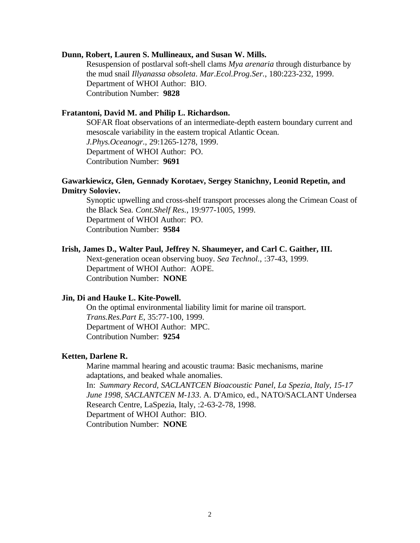#### **Dunn, Robert, Lauren S. Mullineaux, and Susan W. Mills.**

Resuspension of postlarval soft-shell clams *Mya arenaria* through disturbance by the mud snail *Illyanassa obsoleta*. *Mar.Ecol.Prog.Ser.*, 180:223-232, 1999. Department of WHOI Author: BIO. Contribution Number: **9828**

### **Fratantoni, David M. and Philip L. Richardson.**

SOFAR float observations of an intermediate-depth eastern boundary current and mesoscale variability in the eastern tropical Atlantic Ocean. *J.Phys.Oceanogr.*, 29:1265-1278, 1999. Department of WHOI Author: PO. Contribution Number: **9691**

### **Gawarkiewicz, Glen, Gennady Korotaev, Sergey Stanichny, Leonid Repetin, and Dmitry Soloviev.**

Synoptic upwelling and cross-shelf transport processes along the Crimean Coast of the Black Sea. *Cont.Shelf Res.*, 19:977-1005, 1999. Department of WHOI Author: PO. Contribution Number: **9584**

### **Irish, James D., Walter Paul, Jeffrey N. Shaumeyer, and Carl C. Gaither, III.**

Next-generation ocean observing buoy. *Sea Technol.*, :37-43, 1999. Department of WHOI Author: AOPE. Contribution Number: **NONE**

#### **Jin, Di and Hauke L. Kite-Powell.**

On the optimal environmental liability limit for marine oil transport. *Trans.Res.Part E*, 35:77-100, 1999. Department of WHOI Author: MPC. Contribution Number: **9254**

#### **Ketten, Darlene R.**

Marine mammal hearing and acoustic trauma: Basic mechanisms, marine adaptations, and beaked whale anomalies.

In: *Summary Record, SACLANTCEN Bioacoustic Panel, La Spezia, Italy, 15-17 June 1998, SACLANTCEN M-133*. A. D'Amico, ed., NATO/SACLANT Undersea Research Centre, LaSpezia, Italy, :2-63-2-78, 1998. Department of WHOI Author: BIO. Contribution Number: **NONE**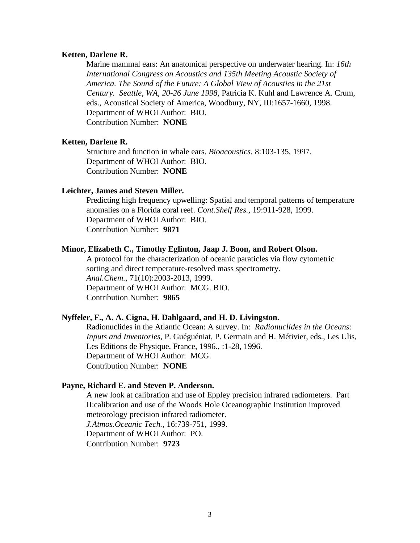### **Ketten, Darlene R.**

Marine mammal ears: An anatomical perspective on underwater hearing. In: *16th International Congress on Acoustics and 135th Meeting Acoustic Society of America. The Sound of the Future: A Global View of Acoustics in the 21st Century. Seattle, WA, 20-26 June 1998,* Patricia K. Kuhl and Lawrence A. Crum, eds., Acoustical Society of America, Woodbury, NY, III:1657-1660, 1998. Department of WHOI Author: BIO. Contribution Number: **NONE**

#### **Ketten, Darlene R.**

Structure and function in whale ears. *Bioacoustics*, 8:103-135, 1997. Department of WHOI Author: BIO. Contribution Number: **NONE**

#### **Leichter, James and Steven Miller.**

Predicting high frequency upwelling: Spatial and temporal patterns of temperature anomalies on a Florida coral reef. *Cont.Shelf Res.*, 19:911-928, 1999. Department of WHOI Author: BIO. Contribution Number: **9871**

### **Minor, Elizabeth C., Timothy Eglinton, Jaap J. Boon, and Robert Olson.**

A protocol for the characterization of oceanic paraticles via flow cytometric sorting and direct temperature-resolved mass spectrometry. *Anal.Chem.*, 71(10):2003-2013, 1999. Department of WHOI Author: MCG. BIO. Contribution Number: **9865**

#### **Nyffeler, F., A. A. Cigna, H. Dahlgaard, and H. D. Livingston.**

Radionuclides in the Atlantic Ocean: A survey. In: *Radionuclides in the Oceans: Inputs and Inventories*, P. Guéguéniat, P. Germain and H. Métivier, eds., Les Ulis, Les Editions de Physique, France, 1996*.*, :1-28, 1996. Department of WHOI Author: MCG. Contribution Number: **NONE**

#### **Payne, Richard E. and Steven P. Anderson.**

A new look at calibration and use of Eppley precision infrared radiometers. Part II:calibration and use of the Woods Hole Oceanographic Institution improved meteorology precision infrared radiometer.

*J.Atmos.Oceanic Tech.*, 16:739-751, 1999.

Department of WHOI Author: PO.

Contribution Number: **9723**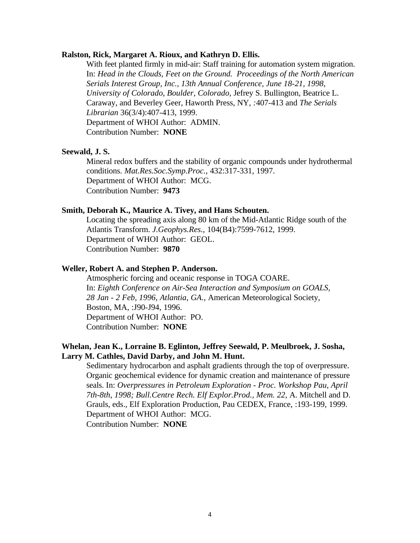#### **Ralston, Rick, Margaret A. Rioux, and Kathryn D. Ellis.**

With feet planted firmly in mid-air: Staff training for automation system migration. In: *Head in the Clouds, Feet on the Ground. Proceedings of the North American Serials Interest Group, Inc., 13th Annual Conference, June 18-21, 1998, University of Colorado, Boulder, Colorado,* Jefrey S. Bullington, Beatrice L. Caraway, and Beverley Geer, Haworth Press, NY*, :*407-413 and *The Serials Librarian* 36(3/4):407-413, 1999. Department of WHOI Author: ADMIN. Contribution Number: **NONE**

### **Seewald, J. S.**

Mineral redox buffers and the stability of organic compounds under hydrothermal conditions. *Mat.Res.Soc.Symp.Proc.*, 432:317-331, 1997. Department of WHOI Author: MCG. Contribution Number: **9473**

#### **Smith, Deborah K., Maurice A. Tivey, and Hans Schouten.**

Locating the spreading axis along 80 km of the Mid-Atlantic Ridge south of the Atlantis Transform. *J.Geophys.Res.*, 104(B4):7599-7612, 1999. Department of WHOI Author: GEOL. Contribution Number: **9870**

#### **Weller, Robert A. and Stephen P. Anderson.**

Atmospheric forcing and oceanic response in TOGA COARE. In: *Eighth Conference on Air-Sea Interaction and Symposium on GOALS, 28 Jan - 2 Feb, 1996, Atlantia, GA.,* American Meteorological Society, Boston, MA, :J90-J94, 1996. Department of WHOI Author: PO. Contribution Number: **NONE**

### **Whelan, Jean K., Lorraine B. Eglinton, Jeffrey Seewald, P. Meulbroek, J. Sosha, Larry M. Cathles, David Darby, and John M. Hunt.**

Sedimentary hydrocarbon and asphalt gradients through the top of overpressure. Organic geochemical evidence for dynamic creation and maintenance of pressure seals. In: *Overpressures in Petroleum Exploration - Proc. Workshop Pau, April 7th-8th, 1998; Bull.Centre Rech. Elf Explor.Prod., Mem. 22,* A. Mitchell and D. Grauls, eds., Elf Exploration Production, Pau CEDEX, France, :193-199, 1999. Department of WHOI Author: MCG. Contribution Number: **NONE**